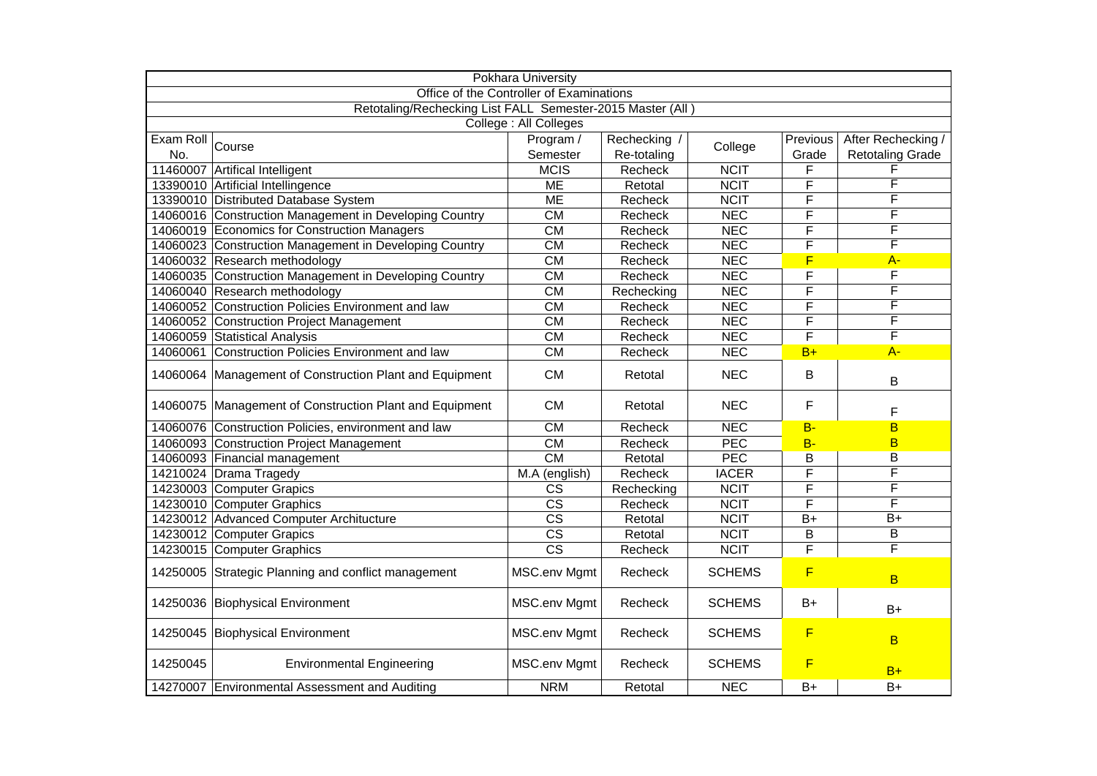|                                                            | <b>Pokhara University</b>                               |                        |             |                  |                         |                         |  |
|------------------------------------------------------------|---------------------------------------------------------|------------------------|-------------|------------------|-------------------------|-------------------------|--|
| Office of the Controller of Examinations                   |                                                         |                        |             |                  |                         |                         |  |
| Retotaling/Rechecking List FALL Semester-2015 Master (All) |                                                         |                        |             |                  |                         |                         |  |
|                                                            |                                                         | College : All Colleges |             |                  |                         |                         |  |
| Exam Roll                                                  | Course                                                  | Program /              | Rechecking  | College          | Previous                | After Rechecking /      |  |
| No.                                                        |                                                         | Semester               | Re-totaling |                  | Grade                   | <b>Retotaling Grade</b> |  |
|                                                            | 11460007 Artifical Intelligent                          | <b>MCIS</b>            | Recheck     | <b>NCIT</b>      | F                       | F                       |  |
|                                                            | 13390010 Artificial Intellingence                       | <b>ME</b>              | Retotal     | <b>NCIT</b>      | $\overline{\mathsf{F}}$ | F                       |  |
|                                                            | 13390010 Distributed Database System                    | <b>ME</b>              | Recheck     | <b>NCIT</b>      | F                       | F                       |  |
|                                                            | 14060016 Construction Management in Developing Country  | <b>CM</b>              | Recheck     | <b>NEC</b>       | F                       | F                       |  |
|                                                            | 14060019 Economics for Construction Managers            | <b>CM</b>              | Recheck     | <b>NEC</b>       | F                       | F                       |  |
|                                                            | 14060023 Construction Management in Developing Country  | <b>CM</b>              | Recheck     | <b>NEC</b>       | F                       | F                       |  |
|                                                            | 14060032 Research methodology                           | $\overline{\text{CM}}$ | Recheck     | <b>NEC</b>       | F                       | $A -$                   |  |
|                                                            | 14060035 Construction Management in Developing Country  | $\overline{\text{CM}}$ | Recheck     | <b>NEC</b>       | $\overline{\mathsf{F}}$ | F                       |  |
|                                                            | 14060040 Research methodology                           | $\overline{\text{CM}}$ | Rechecking  | <b>NEC</b>       | $\overline{\mathsf{F}}$ | F                       |  |
|                                                            | 14060052 Construction Policies Environment and law      | CM                     | Recheck     | <b>NEC</b>       | F                       | F                       |  |
|                                                            | 14060052 Construction Project Management                | $\overline{\text{CM}}$ | Recheck     | <b>NEC</b>       | $\overline{\mathsf{F}}$ | $\overline{\mathsf{F}}$ |  |
|                                                            | 14060059 Statistical Analysis                           | $\overline{\text{CM}}$ | Recheck     | <b>NEC</b>       | $\overline{\mathsf{F}}$ | F                       |  |
|                                                            | 14060061 Construction Policies Environment and law      | $\overline{\text{CM}}$ | Recheck     | NEC              | $B+$                    | $A -$                   |  |
|                                                            | 14060064 Management of Construction Plant and Equipment | <b>CM</b>              | Retotal     | <b>NEC</b>       | B                       | B                       |  |
|                                                            | 14060075 Management of Construction Plant and Equipment | <b>CM</b>              | Retotal     | <b>NEC</b>       | F                       | F                       |  |
|                                                            | 14060076 Construction Policies, environment and law     | $\overline{\text{CM}}$ | Recheck     | NEC              | <b>B-</b>               | B                       |  |
|                                                            | 14060093 Construction Project Management                | $\overline{\text{CM}}$ | Recheck     | $\overline{PEC}$ | $B -$                   | B                       |  |
|                                                            | 14060093 Financial management                           | $\overline{\text{CM}}$ | Retotal     | PEC              | B                       | B                       |  |
|                                                            | 14210024 Drama Tragedy                                  | M.A (english)          | Recheck     | <b>IACER</b>     | F                       | F                       |  |
|                                                            | 14230003 Computer Grapics                               | <b>CS</b>              | Rechecking  | <b>NCIT</b>      | $\overline{\mathsf{F}}$ | F                       |  |
|                                                            | 14230010 Computer Graphics                              | $\overline{\text{cs}}$ | Recheck     | <b>NCIT</b>      | F                       | F                       |  |
|                                                            | 14230012 Advanced Computer Architucture                 | $\overline{\text{cs}}$ | Retotal     | <b>NCIT</b>      | $B+$                    | $\overline{B+}$         |  |
|                                                            | 14230012 Computer Grapics                               | $\overline{\text{cs}}$ | Retotal     | <b>NCIT</b>      | B                       | B                       |  |
|                                                            | 14230015 Computer Graphics                              | $\overline{\text{cs}}$ | Recheck     | <b>NCIT</b>      | $\overline{F}$          | F                       |  |
|                                                            | 14250005 Strategic Planning and conflict management     | <b>MSC.env Mgmt</b>    | Recheck     | <b>SCHEMS</b>    | F                       | B                       |  |
|                                                            | 14250036 Biophysical Environment                        | MSC.env Mgmt           | Recheck     | <b>SCHEMS</b>    | $B+$                    | $B+$                    |  |
|                                                            | 14250045 Biophysical Environment                        | MSC.env Mgmt           | Recheck     | <b>SCHEMS</b>    | $\overline{F}$          | B                       |  |
| 14250045                                                   | <b>Environmental Engineering</b>                        | <b>MSC.env Mgmt</b>    | Recheck     | <b>SCHEMS</b>    | $\overline{F}$          | $B+$                    |  |
|                                                            | 14270007 Environmental Assessment and Auditing          | <b>NRM</b>             | Retotal     | <b>NEC</b>       | $B+$                    | $B+$                    |  |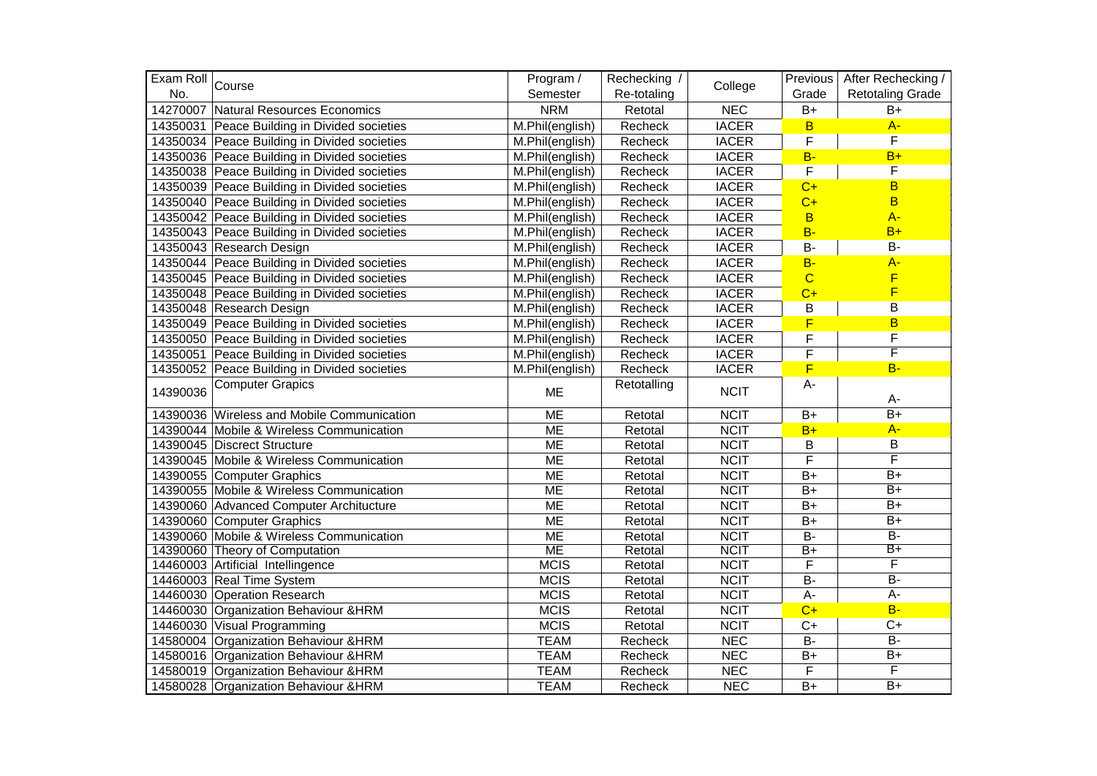|          | Exam Roll Course                             | Program /                      | Rechecking / | College      | Previous                | After Rechecking /      |
|----------|----------------------------------------------|--------------------------------|--------------|--------------|-------------------------|-------------------------|
| No.      |                                              | Semester                       | Re-totaling  |              | Grade                   | <b>Retotaling Grade</b> |
|          | 14270007 Natural Resources Economics         | <b>NRM</b>                     | Retotal      | <b>NEC</b>   | $B+$                    | $B+$                    |
|          | 14350031 Peace Building in Divided societies | M.Phil(english)                | Recheck      | <b>IACER</b> | $\overline{B}$          | $A -$                   |
|          | 14350034 Peace Building in Divided societies | M.Phil(english)                | Recheck      | <b>IACER</b> | $\overline{F}$          | $\overline{F}$          |
|          | 14350036 Peace Building in Divided societies | M.Phil(english)                | Recheck      | <b>IACER</b> | $B -$                   | $B+$                    |
|          | 14350038 Peace Building in Divided societies | M.Phil(english)                | Recheck      | <b>IACER</b> | $\overline{F}$          | F                       |
|          | 14350039 Peace Building in Divided societies | M.Phil(english)                | Recheck      | <b>IACER</b> | $C+$                    | $\overline{B}$          |
|          | 14350040 Peace Building in Divided societies | M.Phil(english)                | Recheck      | <b>IACER</b> | $C+$                    | $\overline{B}$          |
|          | 14350042 Peace Building in Divided societies | M.Phil(english)                | Recheck      | <b>IACER</b> | $\overline{B}$          | $A -$                   |
|          | 14350043 Peace Building in Divided societies | M.Phil(english)                | Recheck      | <b>IACER</b> | $B -$                   | $B+$                    |
|          | 14350043 Research Design                     | M.Phil(english)                | Recheck      | <b>IACER</b> | <b>B-</b>               | $B -$                   |
|          | 14350044 Peace Building in Divided societies | M.Phil(english)                | Recheck      | <b>IACER</b> | $B -$                   | $A -$                   |
|          | 14350045 Peace Building in Divided societies | M.Phil(english)                | Recheck      | <b>IACER</b> | $\overline{C}$          | F                       |
|          | 14350048 Peace Building in Divided societies | M.Phil(english)                | Recheck      | <b>IACER</b> | $C+$                    | F                       |
|          | 14350048 Research Design                     | M.Phil(english)                | Recheck      | <b>IACER</b> | $\overline{B}$          | $\overline{B}$          |
|          | 14350049 Peace Building in Divided societies | $\overline{M}$ . Phil(english) | Recheck      | <b>IACER</b> | F                       | B                       |
|          | 14350050 Peace Building in Divided societies | M.Phil(english)                | Recheck      | <b>IACER</b> | $\mathsf F$             | F                       |
|          | 14350051 Peace Building in Divided societies | M.Phil(english)                | Recheck      | <b>IACER</b> | $\overline{F}$          | F                       |
|          | 14350052 Peace Building in Divided societies | M.Phil(english)                | Recheck      | <b>IACER</b> | F                       | $B -$                   |
| 14390036 | Computer Grapics                             | <b>ME</b>                      | Retotalling  | <b>NCIT</b>  | A-                      | A-                      |
|          | 14390036 Wireless and Mobile Communication   | <b>ME</b>                      | Retotal      | <b>NCIT</b>  | $B+$                    | $\overline{B+}$         |
|          | 14390044 Mobile & Wireless Communication     | <b>ME</b>                      | Retotal      | <b>NCIT</b>  | $B+$                    | $A -$                   |
|          | 14390045 Discrect Structure                  | <b>ME</b>                      | Retotal      | <b>NCIT</b>  | $\sf B$                 | $\sf B$                 |
|          | 14390045 Mobile & Wireless Communication     | <b>ME</b>                      | Retotal      | <b>NCIT</b>  | $\overline{\mathsf{F}}$ | $\overline{\mathsf{F}}$ |
|          | 14390055 Computer Graphics                   | <b>ME</b>                      | Retotal      | <b>NCIT</b>  | $B+$                    | $\overline{B+}$         |
|          | 14390055 Mobile & Wireless Communication     | <b>ME</b>                      | Retotal      | <b>NCIT</b>  | $B+$                    | $\overline{B+}$         |
|          | 14390060 Advanced Computer Architucture      | <b>ME</b>                      | Retotal      | <b>NCIT</b>  | $B+$                    | $\overline{B+}$         |
|          | 14390060 Computer Graphics                   | <b>ME</b>                      | Retotal      | <b>NCIT</b>  | $B+$                    | $B+$                    |
|          | 14390060 Mobile & Wireless Communication     | <b>ME</b>                      | Retotal      | <b>NCIT</b>  | $B -$                   | $\overline{B}$          |
|          | 14390060 Theory of Computation               | <b>ME</b>                      | Retotal      | <b>NCIT</b>  | $\overline{B+}$         | B+                      |
|          | 14460003 Artificial Intellingence            | <b>MCIS</b>                    | Retotal      | <b>NCIT</b>  | F                       | F                       |
|          | 14460003 Real Time System                    | <b>MCIS</b>                    | Retotal      | <b>NCIT</b>  | $B -$                   | $\overline{B}$          |
|          | 14460030 Operation Research                  | <b>MCIS</b>                    | Retotal      | <b>NCIT</b>  | $A -$                   | $A -$                   |
|          | 14460030 Organization Behaviour & HRM        | <b>MCIS</b>                    | Retotal      | <b>NCIT</b>  | $C+$                    | $B -$                   |
|          | 14460030 Visual Programming                  | <b>MCIS</b>                    | Retotal      | <b>NCIT</b>  | $C+$                    | $C+$                    |
|          | 14580004 Organization Behaviour & HRM        | <b>TEAM</b>                    | Recheck      | <b>NEC</b>   | $B -$                   | $\overline{B}$          |
|          | 14580016 Organization Behaviour & HRM        | <b>TEAM</b>                    | Recheck      | <b>NEC</b>   | $B+$                    | $B+$                    |
|          | 14580019 Organization Behaviour & HRM        | <b>TEAM</b>                    | Recheck      | <b>NEC</b>   | $\mathsf F$             | F                       |
|          | 14580028 Organization Behaviour & HRM        | <b>TEAM</b>                    | Recheck      | <b>NEC</b>   | $B+$                    | $\overline{B+}$         |